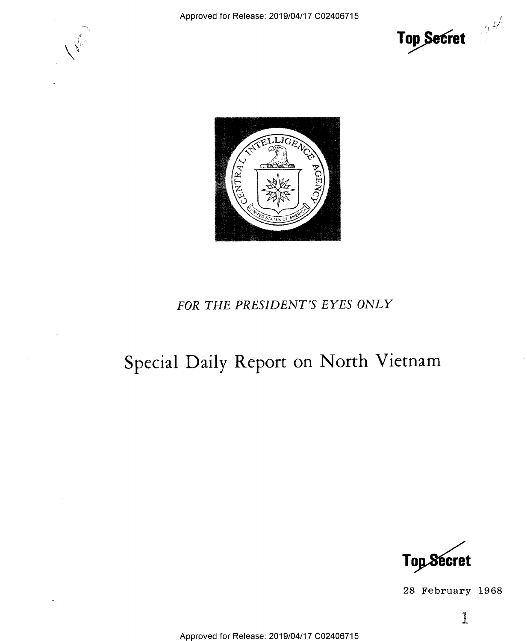





## FOR THE PRESIDENT'S EYES ONLY

## Special Daily Report on North Vietnam



28 February 1968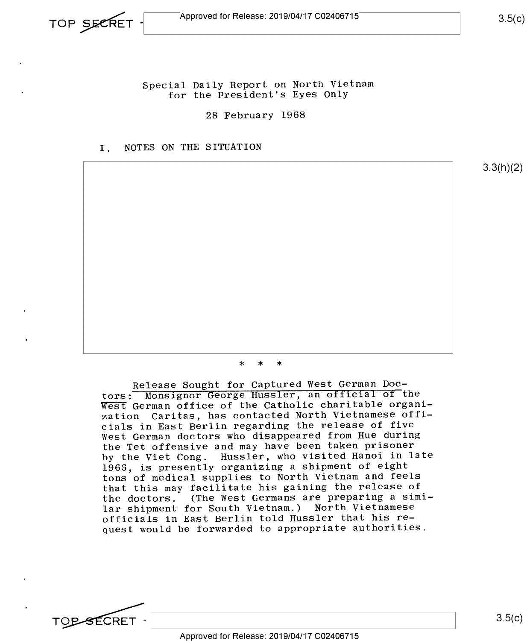

3.3(h)(2)

Special Daily Report on North Vietnam for the President's Eyes Only

28 February 1968

I. NOTES ON THE SITUATION



\* \* \*

Release Sought for Captured West German Doctors: Monsignor George Hussler, an official of the West German office of the Catholic charitable organization Caritas, has contacted North Vietnamese officials in East Berlin regarding the release of five West German doctors who disappeared from Hue during the Tet offensive and may have been taken prisoner by the Viet Cong. Hussler, who visited Hanoi in late 1966, is presently organizing a shipment of eight tons of medical supplies to North Vietnam and feels that this may facilitate his gaining the release of the doctors. (The West Germans are preparing a similar shipment for South Vietnam.) North Vietnamese officials in East Berlin told Hussler that his request would be forwarded to appropriate authorities.

**TOP-SECRET** 

Approved for Release: 2019/04/17 C02406715

 $3.5(c)$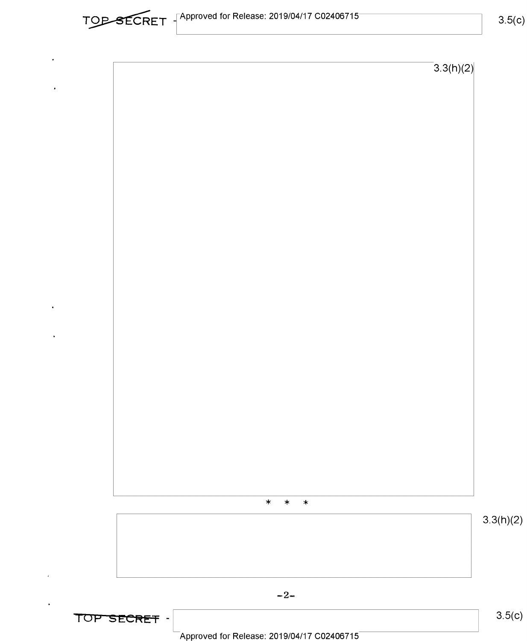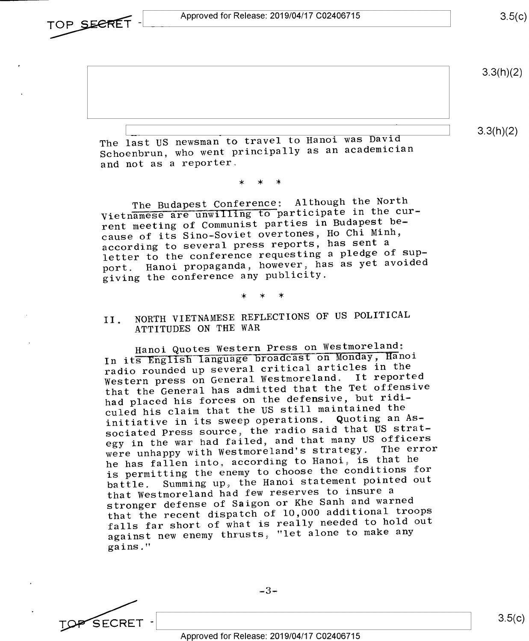Approved for Release: 2019/04/17 C02406715



 $3.5(c)$ 

 $3.3(h)(2)$ 

3.3(h)(2)

The last US newsman to travel to Hanoi was David Schoenbrun, who went principally as an academician and not as a reporter.

\* \* \*

The Budapest Conference: Although the North Vietnamese are unwilling to participate in the current meeting of Communist parties in Budapest because of its Sino-Soviet overtones, Ho Chi Minh, according to several press reports, has sent <sup>a</sup> letter to the conference requesting a pledge of support. Hanoi propaganda, however, has as yet avoided giving the conference any publicity.

1\* \* \*

II. NORTH VIETNAMESE REFLECTIONS OF US POLITICAL ATTITUDES ON THE WAR

Hanoi Quotes Western Press on Westmoreland: In its English language broadcast on Monday, Hanoi radio rounded up several critical articles in the Western press on General Westmoreland. It reported that the General has admitted that the Tet offensive had placed his forces on the defensive, but ridiculed his claim that the US still maintained the<br>initiative in its sween operations. Quoting an Asinitiative in its sweep operations. sociated Press source, the radio said that US strategy in the war had failed, and that many US officers were unhappy with Westmoreland's strategy. he has fallen into, according to Hanoi, is that he is permitting the enemy to choose the conditions for<br>battle. Summing up, the Hanoi statement pointed out Summing up, the Hanoi statement pointed out that Westmoreland had few reserves to insure <sup>a</sup> stronger defense of Saigon or Khe Sanh and warned that the recent dispatch of 10,000 additional troops falls far short of what is really needed to hold out against new enemy thrusts, "let alone to make any gains." The error

SECRET '

Approved for Release: 2019/04/17 C02406715

 $3.5(c)$